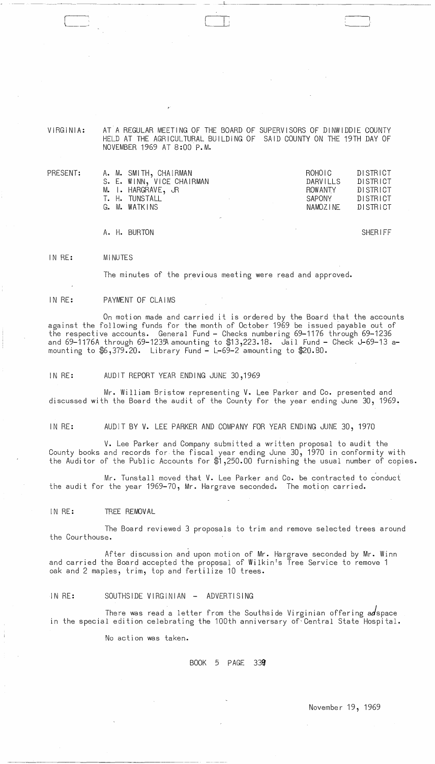VIRGINIA:

PRESENT:

AT A REGULAR MEETING OF THE BOARD OF SUPERVISORS OF DINWIDDIE COUNTY HELD AT THE AGRICULTURAL BUILDING OF SAID COUNTY ON THE 19TH DAY OF NOVEMBER 1969 AT 8:00 P.M.

 $\overline{\phantom{a}}$  . The contract of the contract of the contract of the contract of the contract of the contract of the contract of the contract of the contract of the contract of the contract of the contract of the contract of

| A. M. SMITH, CHAIRMAN     | ROHOIC.        | DISTRICT |
|---------------------------|----------------|----------|
| S. E. WINN, VICE CHAIRMAN | DARVILLS       | DISTRICT |
| M. I. HARGRAVE, JR        | <b>ROWANTY</b> | DISTRICT |
| T. H. TUNSTALL            | SAPONY         | DISTRICT |
| G. M. WATKINS             | NAMOZINE       | DISTRICT |
|                           |                |          |

A. H. BURTON SHERIFF

IN RE: MINUTES

The minutes of the previous meeting were read and approved.

IN RE: PAYMENT OF CLAIMS

On motion made and carried it is ordered by the Board that the accounts against the following funds for the month of October 1969 be issued payable out of the respective accounts. General Fund - Checks numbering 69-1176 through 69-1236 and 69-1176A through 69-1235A amounting to \$13,223.18. Jail Fund - Check J-69-13 amounting to  $$6,379.20$ . Library Fund  $-$  L-69-2 amounting to  $$20.80$ .

IN RE: AUDIT REPORT YEAR ENDING JUNE 30,1969

Mr. William Bristow representing V. Lee Parker and Co. presented and discussed with the Board the audit of the County for the year ending June 30, 1969.

IN RE: AUDIT BY V. LEE PARKER AND COMPANY FOR YEAR ENDING JUNE 30, 1970

V. Lee Parker and Company submitted a written proposal to audit the County books and records for the fiscal year ending June 30, 1970 in conformity with the Auditor of the Public Accounts for \$1,250.00 furnishing the usual number of copies.

Mr. Tunstall moved that V. Lee Parker and Co. be contracted to conduct the audit for the year 1969-70, Mr. Hargrave seconded. The motion carried.

IN RE: TREE REMOVAL

The Board reviewed 3 proposals to trim and remove selected trees around the Courthouse.

- After discussion and upon motion of Mr. Hargrave seconded by Mr. Winn and carried the Board accepted the proposal of Wilkin's Tree Service to remove 1 oak and 2 maples, trim, top and fertilize 10 trees.

IN RE: SOUTHSIDE VIRGINIAN - ADVERTISING

There was read a letter from the Southside Virginian offering adspace in the special edition celebrating the 100th anniversary of Central State Hospital.

No action was taken.

 $\sim 10^7$ 

BOOK 5 PAGE 33g

November 19, 1969

 $\bar{\beta}$